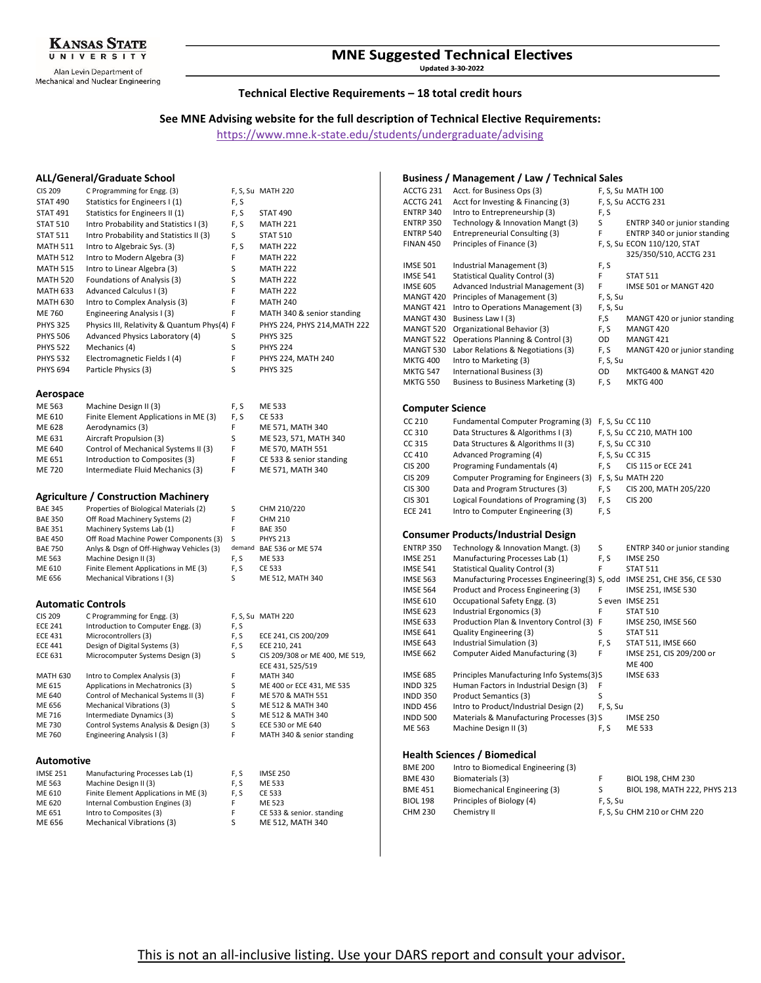

Alan Levin Department of Mechanical and Nuclear Engineering

# **MNE Suggested Technical Electives**

**Updated 3-30-2022** 

## **Technical Elective Requirements – 18 total credit hours**

# **See MNE Advising website for the full description of Technical Elective Requirements:**

<https://www.mne.k-state.edu/students/undergraduate/advising>

#### **ALL/General/Graduate School**

| <b>CIS 209</b>  | C Programming for Engg. (3)                 |      | F, S, Su MATH 220            |
|-----------------|---------------------------------------------|------|------------------------------|
| <b>STAT 490</b> | Statistics for Engineers I (1)              | F, S |                              |
| <b>STAT 491</b> | Statistics for Engineers II (1)             | F, S | <b>STAT 490</b>              |
| <b>STAT 510</b> | Intro Probability and Statistics I (3)      | F, S | <b>MATH 221</b>              |
| <b>STAT 511</b> | Intro Probability and Statistics II (3)     | S    | <b>STAT 510</b>              |
| <b>MATH 511</b> | Intro to Algebraic Sys. (3)                 | F, S | <b>MATH 222</b>              |
| <b>MATH 512</b> | Intro to Modern Algebra (3)                 | F    | <b>MATH 222</b>              |
| <b>MATH 515</b> | Intro to Linear Algebra (3)                 | S    | <b>MATH 222</b>              |
| <b>MATH 520</b> | Foundations of Analysis (3)                 | S    | <b>MATH 222</b>              |
| <b>MATH 633</b> | Advanced Calculus I (3)                     | F    | <b>MATH 222</b>              |
| <b>MATH 630</b> | Intro to Complex Analysis (3)               | F    | <b>MATH 240</b>              |
| ME 760          | Engineering Analysis I (3)                  | F    | MATH 340 & senior standing   |
| <b>PHYS 325</b> | Physics III, Relativity & Quantum Phys(4) F |      | PHYS 224, PHYS 214, MATH 222 |
| <b>PHYS 506</b> | Advanced Physics Laboratory (4)             | S    | <b>PHYS 325</b>              |
| <b>PHYS 522</b> | Mechanics (4)                               | S    | <b>PHYS 224</b>              |
| <b>PHYS 532</b> | Electromagnetic Fields I (4)                | F    | PHYS 224, MATH 240           |
| <b>PHYS 694</b> | Particle Physics (3)                        | S    | <b>PHYS 325</b>              |
|                 |                                             |      |                              |
| 0.000000000     |                                             |      |                              |

### **Aerospace**

| ME 563 | Machine Design II (3)                 | F. S | ME 533                   |
|--------|---------------------------------------|------|--------------------------|
| ME 610 | Finite Element Applications in ME (3) | F.S  | CE 533                   |
| ME 628 | Aerodynamics (3)                      | F    | ME 571, MATH 340         |
| ME 631 | Aircraft Propulsion (3)               | S.   | ME 523, 571, MATH 340    |
| ME 640 | Control of Mechanical Systems II (3)  | F    | ME 570. MATH 551         |
| ME 651 | Introduction to Composites (3)        | F    | CE 533 & senior standing |
| ME 720 | Intermediate Fluid Mechanics (3)      | F    | ME 571, MATH 340         |
|        |                                       |      |                          |

# **Agriculture / Construction Machinery**

| <b>BAE 345</b> | Properties of Biological Materials (2)   | S      | CHM 210/220       |
|----------------|------------------------------------------|--------|-------------------|
| <b>BAE 350</b> | Off Road Machinery Systems (2)           | F      | <b>CHM 210</b>    |
| <b>BAE 351</b> | Machinery Systems Lab (1)                | F      | <b>BAE 350</b>    |
| <b>BAE 450</b> | Off Road Machine Power Components (3)    | S      | <b>PHYS 213</b>   |
| <b>BAE 750</b> | Anlys & Dsgn of Off-Highway Vehicles (3) | demand | BAE 536 or ME 574 |
| ME 563         | Machine Design II (3)                    | F. S   | ME 533            |
| ME 610         | Finite Element Applications in ME (3)    | F. S   | <b>CE 533</b>     |
| ME 656         | Mechanical Vibrations I (3)              | S      | ME 512, MATH 340  |

# **Automatic Controls**

| <b>CIS 209</b>    | C Programming for Engg. (3)           |      | F. S. Su MATH 220              |  |  |
|-------------------|---------------------------------------|------|--------------------------------|--|--|
| <b>ECE 241</b>    | Introduction to Computer Engg. (3)    | F, S |                                |  |  |
| <b>ECE 431</b>    | Microcontrollers (3)                  | F, S | ECE 241, CIS 200/209           |  |  |
| <b>ECE 441</b>    | Design of Digital Systems (3)         | F, S | ECE 210, 241                   |  |  |
| <b>ECE 631</b>    | Microcomputer Systems Design (3)      | S    | CIS 209/308 or ME 400, ME 519, |  |  |
|                   |                                       |      | ECE 431, 525/519               |  |  |
| MATH 630          | Intro to Complex Analysis (3)         | F    | <b>MATH 340</b>                |  |  |
| ME 615            | Applications in Mechatronics (3)      | S    | ME 400 or ECE 431. ME 535      |  |  |
| ME 640            | Control of Mechanical Systems II (3)  | F    | ME 570 & MATH 551              |  |  |
| ME 656            | <b>Mechanical Vibrations (3)</b>      | S    | ME 512 & MATH 340              |  |  |
| ME 716            | Intermediate Dynamics (3)             | S    | ME 512 & MATH 340              |  |  |
| ME 730            | Control Systems Analysis & Design (3) | S    | ECE 530 or ME 640              |  |  |
| ME 760            | Engineering Analysis I (3)            | F    | MATH 340 & senior standing     |  |  |
|                   |                                       |      |                                |  |  |
|                   |                                       |      |                                |  |  |
| <b>Automotive</b> |                                       |      |                                |  |  |

| <b>IMSE 251</b> | Manufacturing Processes Lab (1)       | F.S | <b>IMSE 250</b>           |
|-----------------|---------------------------------------|-----|---------------------------|
| ME 563          | Machine Design II (3)                 | F.S | ME 533                    |
| ME 610          | Finite Element Applications in ME (3) | F.S | CE 533                    |
| ME 620          | Internal Combustion Engines (3)       |     | ME 523                    |
| ME 651          | Intro to Composites (3)               | F   | CE 533 & senior. standing |
| ME 656          | <b>Mechanical Vibrations (3)</b>      | S   | ME 512. MATH 340          |
|                 |                                       |     |                           |

#### **Business / Management / Law / Technical Sales**

| ACCTG 231               | Acct. for Business Ops (3)                                              |          | F, S, Su MATH 100                                     |
|-------------------------|-------------------------------------------------------------------------|----------|-------------------------------------------------------|
| ACCTG 241               | Acct for Investing & Financing (3)                                      |          | F, S, Su ACCTG 231                                    |
| ENTRP 340               | Intro to Entrepreneurship (3)                                           | F, S     |                                                       |
| <b>ENTRP 350</b>        | Technology & Innovation Mangt (3)                                       | S        | ENTRP 340 or junior standing                          |
| <b>ENTRP 540</b>        | Entrepreneurial Consulting (3)                                          | F        | ENTRP 340 or junior standing                          |
| <b>FINAN 450</b>        | Principles of Finance (3)                                               |          | F, S, Su ECON 110/120, STAT<br>325/350/510, ACCTG 231 |
| <b>IMSE 501</b>         | Industrial Management (3)                                               | F, S     |                                                       |
| <b>IMSE 541</b>         | <b>Statistical Quality Control (3)</b>                                  | F        | <b>STAT 511</b>                                       |
| <b>IMSE 605</b>         | Advanced Industrial Management (3)                                      | F        | IMSE 501 or MANGT 420                                 |
| MANGT 420               | Principles of Management (3)                                            | F, S, Su |                                                       |
| MANGT 421               | Intro to Operations Management (3)                                      | F, S, Su |                                                       |
| MANGT 430               | Business Law I (3)                                                      | F,S      | MANGT 420 or junior standing                          |
| MANGT 520               | Organizational Behavior (3)                                             | F, S     | MANGT 420                                             |
| MANGT 522               | Operations Planning & Control (3)                                       | OD       | MANGT 421                                             |
| MANGT 530               | Labor Relations & Negotiations (3)                                      | F, S     | MANGT 420 or junior standing                          |
| <b>MKTG 400</b>         | Intro to Marketing (3)                                                  | F, S, Su |                                                       |
| <b>MKTG 547</b>         | International Business (3)                                              | OD       | MKTG400 & MANGT 420                                   |
| <b>MKTG 550</b>         | Business to Business Marketing (3)                                      | F, S     | <b>MKTG 400</b>                                       |
| <b>Computer Science</b> |                                                                         |          |                                                       |
| CC 210                  | Fundamental Computer Programing (3)                                     |          | F, S, Su CC 110                                       |
| CC 310                  | Data Structures & Algorithms I (3)                                      |          | F, S, Su CC 210, MATH 100                             |
| CC 315                  | Data Structures & Algorithms II (3)                                     |          | F, S, Su CC 310                                       |
| CC 410                  | Advanced Programing (4)                                                 |          | F, S, Su CC 315                                       |
| <b>CIS 200</b>          | Programing Fundamentals (4)                                             | F, S     | CIS 115 or ECE 241                                    |
| <b>CIS 209</b>          | Computer Programing for Engineers (3)                                   |          | F, S, Su MATH 220                                     |
| CIS 300                 | Data and Program Structures (3)                                         | F, S     | CIS 200, MATH 205/220                                 |
| CIS 301                 | Logical Foundations of Programing (3)                                   | F, S     | <b>CIS 200</b>                                        |
| <b>ECE 241</b>          | Intro to Computer Engineering (3)                                       | F, S     |                                                       |
|                         | <b>Consumer Products/Industrial Design</b>                              |          |                                                       |
| <b>ENTRP 350</b>        | Technology & Innovation Mangt. (3)                                      | S        | ENTRP 340 or junior standing                          |
| <b>IMSE 251</b>         | Manufacturing Processes Lab (1)                                         | F, S     | <b>IMSE 250</b>                                       |
| <b>IMSE 541</b>         | <b>Statistical Quality Control (3)</b>                                  | F        | <b>STAT 511</b>                                       |
| <b>IMSE 563</b>         | Manufacturing Processes Engineering(3) S, odd IMSE 251, CHE 356, CE 530 |          |                                                       |
| <b>IMSE 564</b>         | Product and Process Engineering (3)                                     | F        | IMSE 251, IMSE 530                                    |
| <b>IMSE 610</b>         | Occupational Safety Engg. (3)                                           |          | Seven IMSE 251                                        |
| <b>IMSE 623</b>         | Industrial Ergonomics (3)                                               | F        | <b>STAT 510</b>                                       |
| <b>IMSE 633</b>         | Production Plan & Inventory Control (3)                                 | F        | IMSE 250, IMSE 560                                    |
| <b>IMSE 641</b>         | Quality Engineering (3)                                                 | S        | <b>STAT 511</b>                                       |
| <b>IMSE 643</b>         | Industrial Simulation (3)                                               | F, S     | STAT 511, IMSE 660                                    |
| <b>IMSE 662</b>         | Computer Aided Manufacturing (3)                                        | F        | IMSE 251, CIS 209/200 or                              |
| <b>IMSE 685</b>         | Principles Manufacturing Info Systems(3)S                               |          | ME 400<br><b>IMSE 633</b>                             |
| <b>INDD 325</b>         | Human Factors in Industrial Design (3)                                  | F        |                                                       |
| <b>INDD 350</b>         | Product Semantics (3)                                                   | S        |                                                       |
| <b>INDD 456</b>         | Intro to Product/Industrial Design (2)                                  | F, S, Su |                                                       |
| <b>INDD 500</b>         | Materials & Manufacturing Processes (3) S                               |          | <b>IMSE 250</b>                                       |
| ME 563                  | Machine Design II (3)                                                   | F, S     | ME 533                                                |
|                         | <b>Health Sciences / Biomedical</b>                                     |          |                                                       |
| <b>BME 200</b>          | Intro to Biomedical Engineering (3)                                     |          |                                                       |
| <b>BME 430</b>          | Biomaterials (3)                                                        | F        | BIOL 198, CHM 230                                     |
| <b>BME 451</b>          | Biomechanical Engineering (3)                                           | S        | BIOL 198, MATH 222, PHYS 213                          |
|                         |                                                                         |          |                                                       |